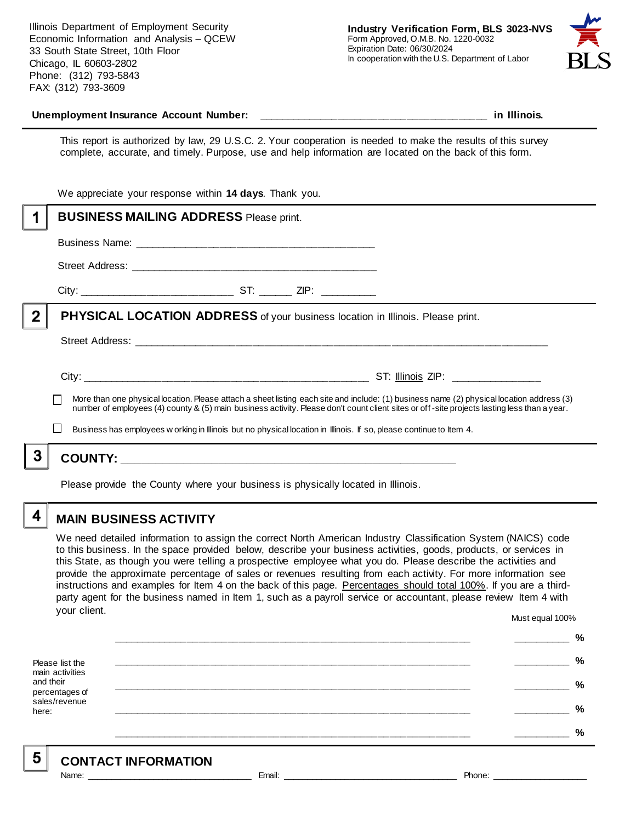Illinois Department of Employment Security Economic Information and Analysis – QCEW 33 South State Street, 10th Floor Chicago, IL 60603-2802 Phone: (312) 793-5843 FAX: (312) 793-3609



#### **Unemployment Insurance Account Number: \_\_\_\_\_\_\_\_\_\_\_\_\_\_\_\_\_\_\_\_\_\_\_\_\_\_\_\_\_\_\_\_\_\_\_\_\_\_\_\_ in Illinois.**

This report is authorized by law, 29 U.S.C. 2. Your cooperation is needed to make the results of this survey complete, accurate, and timely. Purpose, use and help information are located on the back of this form.

|   | We appreciate your response within 14 days. Thank you.                                                                                                                                                                                                             |  |  |                                                                                                                                           |
|---|--------------------------------------------------------------------------------------------------------------------------------------------------------------------------------------------------------------------------------------------------------------------|--|--|-------------------------------------------------------------------------------------------------------------------------------------------|
|   | <b>BUSINESS MAILING ADDRESS Please print.</b>                                                                                                                                                                                                                      |  |  |                                                                                                                                           |
|   |                                                                                                                                                                                                                                                                    |  |  |                                                                                                                                           |
|   |                                                                                                                                                                                                                                                                    |  |  |                                                                                                                                           |
|   |                                                                                                                                                                                                                                                                    |  |  |                                                                                                                                           |
| 2 | PHYSICAL LOCATION ADDRESS of your business location in Illinois. Please print.                                                                                                                                                                                     |  |  |                                                                                                                                           |
|   |                                                                                                                                                                                                                                                                    |  |  |                                                                                                                                           |
|   |                                                                                                                                                                                                                                                                    |  |  | More than one physical location. Please attach a sheet listing each site and include: (1) business name (2) physical location address (3) |
|   | number of employees (4) county & (5) main business activity. Please don't count client sites or off-site projects lasting less than a year.<br>Business has employees w orking in Illinois but no physical location in Illinois. If so, please continue to Item 4. |  |  |                                                                                                                                           |
|   |                                                                                                                                                                                                                                                                    |  |  |                                                                                                                                           |
|   |                                                                                                                                                                                                                                                                    |  |  |                                                                                                                                           |
|   |                                                                                                                                                                                                                                                                    |  |  |                                                                                                                                           |

Please provide the County where your business is physically located in Illinois.

4

5

### **MAIN BUSINESS ACTIVITY**

We need detailed information to assign the correct North American Industry Classification System (NAICS) code to this business. In the space provided below, describe your business activities, goods, products, or services in this State, as though you were telling a prospective employee what you do. Please describe the activities and provide the approximate percentage of sales or revenues resulting from each activity. For more information see instructions and examples for Item 4 on the back of this page. Percentages should total 100%. If you are a thirdparty agent for the business named in Item 1, such as a payroll service or accountant, please review Item 4 with your client. Must equal 100%

Please list the main activities and their percentages of sales/revenue here: **\_\_\_\_\_\_\_\_\_\_\_\_\_\_\_\_\_\_\_\_\_\_\_\_\_\_\_\_\_\_\_\_\_\_\_\_\_\_\_\_\_\_\_\_\_\_\_\_\_\_\_\_\_\_\_\_\_\_\_\_\_\_ \_\_\_\_\_\_\_\_\_\_ % \_\_\_\_\_\_\_\_\_\_\_\_\_\_\_\_\_\_\_\_\_\_\_\_\_\_\_\_\_\_\_\_\_\_\_\_\_\_\_\_\_\_\_\_\_\_\_\_\_\_\_\_\_\_\_\_\_\_\_\_\_\_ \_\_\_\_\_\_\_\_\_\_ % \_\_\_\_\_\_\_\_\_\_\_\_\_\_\_\_\_\_\_\_\_\_\_\_\_\_\_\_\_\_\_\_\_\_\_\_\_\_\_\_\_\_\_\_\_\_\_\_\_\_\_\_\_\_\_\_\_\_\_\_\_\_ \_\_\_\_\_\_\_\_\_\_ % \_\_\_\_\_\_\_\_\_\_\_\_\_\_\_\_\_\_\_\_\_\_\_\_\_\_\_\_\_\_\_\_\_\_\_\_\_\_\_\_\_\_\_\_\_\_\_\_\_\_\_\_\_\_\_\_\_\_\_\_\_\_ \_\_\_\_\_\_\_\_\_\_ % \_\_\_\_\_\_\_\_\_\_\_\_\_\_\_\_\_\_\_\_\_\_\_\_\_\_\_\_\_\_\_\_\_\_\_\_\_\_\_\_\_\_\_\_\_\_\_\_\_\_\_\_\_\_\_\_\_\_\_\_\_\_ \_\_\_\_\_\_\_\_\_\_ %**